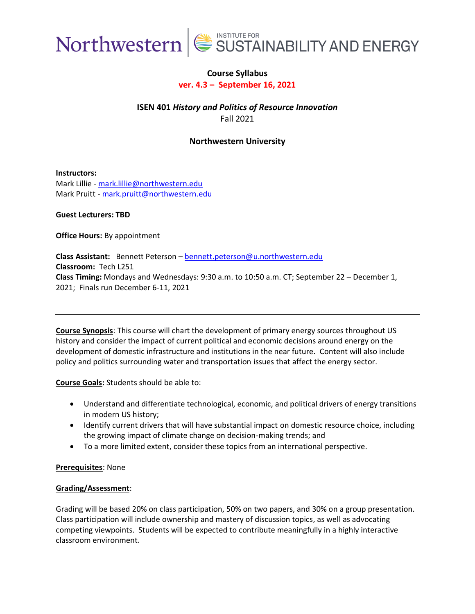

### **Course Syllabus ver. 4.3 – September 16, 2021**

**ISEN 401** *History and Politics of Resource Innovation* Fall 2021

**Northwestern University**

**Instructors:** Mark Lillie - [mark.lillie@northwestern.edu](mailto:mark.lillie@northwestern.edu) Mark Pruitt - [mark.pruitt@northwestern.edu](mailto:mark.pruitt@northwestern.edu)

**Guest Lecturers: TBD**

**Office Hours:** By appointment

**Class Assistant:** Bennett Peterson – [bennett.peterson@u.northwestern.edu](mailto:bennett.peterson@u.northwestern.edu) **Classroom:** Tech L251 **Class Timing:** Mondays and Wednesdays: 9:30 a.m. to 10:50 a.m. CT; September 22 – December 1, 2021; Finals run December 6-11, 2021

**Course Synopsis**: This course will chart the development of primary energy sources throughout US history and consider the impact of current political and economic decisions around energy on the development of domestic infrastructure and institutions in the near future. Content will also include policy and politics surrounding water and transportation issues that affect the energy sector.

**Course Goals:** Students should be able to:

- Understand and differentiate technological, economic, and political drivers of energy transitions in modern US history;
- Identify current drivers that will have substantial impact on domestic resource choice, including the growing impact of climate change on decision-making trends; and
- To a more limited extent, consider these topics from an international perspective.

#### **Prerequisites**: None

#### **Grading/Assessment**:

Grading will be based 20% on class participation, 50% on two papers, and 30% on a group presentation. Class participation will include ownership and mastery of discussion topics, as well as advocating competing viewpoints. Students will be expected to contribute meaningfully in a highly interactive classroom environment.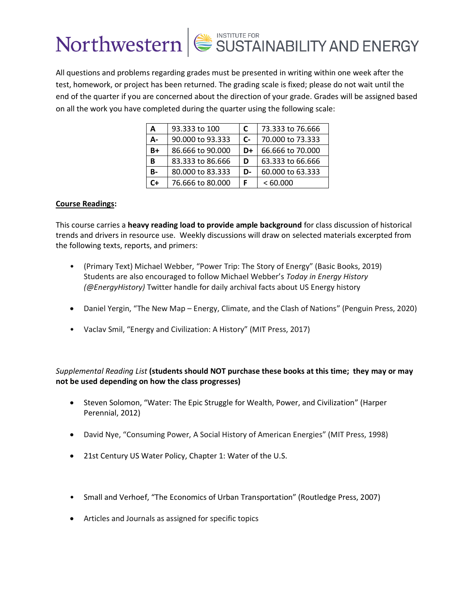All questions and problems regarding grades must be presented in writing within one week after the test, homework, or project has been returned. The grading scale is fixed; please do not wait until the end of the quarter if you are concerned about the direction of your grade. Grades will be assigned based on all the work you have completed during the quarter using the following scale:

| A         | 93.333 to 100    | C  | 73.333 to 76.666 |
|-----------|------------------|----|------------------|
| А-        | 90,000 to 93,333 | C- | 70,000 to 73,333 |
| B+        | 86.666 to 90.000 | D+ | 66.666 to 70.000 |
| в         | 83.333 to 86.666 | D  | 63.333 to 66.666 |
| <b>B-</b> | 80.000 to 83.333 | D- | 60.000 to 63.333 |
| C+        | 76.666 to 80.000 | F  | <60.000          |

#### **Course Readings:**

This course carries a **heavy reading load to provide ample background** for class discussion of historical trends and drivers in resource use. Weekly discussions will draw on selected materials excerpted from the following texts, reports, and primers:

- (Primary Text) Michael Webber, "Power Trip: The Story of Energy" (Basic Books, 2019) Students are also encouraged to follow Michael Webber's *Today in Energy History (@EnergyHistory)* Twitter handle for daily archival facts about US Energy history
- Daniel Yergin, "The New Map Energy, Climate, and the Clash of Nations" (Penguin Press, 2020)
- Vaclav Smil, "Energy and Civilization: A History" (MIT Press, 2017)

*Supplemental Reading List* **(students should NOT purchase these books at this time; they may or may not be used depending on how the class progresses)**

- Steven Solomon, "Water: The Epic Struggle for Wealth, Power, and Civilization" (Harper Perennial, 2012)
- David Nye, "Consuming Power, A Social History of American Energies" (MIT Press, 1998)
- 21st Century US Water Policy, Chapter 1: Water of the U.S.
- Small and Verhoef, "The Economics of Urban Transportation" (Routledge Press, 2007)
- Articles and Journals as assigned for specific topics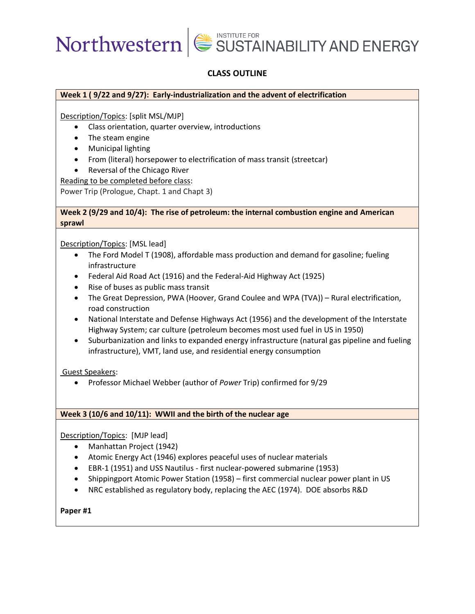## **CLASS OUTLINE**

#### **Week 1 ( 9/22 and 9/27): Early-industrialization and the advent of electrification**

Description/Topics: [split MSL/MJP]

- Class orientation, quarter overview, introductions
- The steam engine
- Municipal lighting
- From (literal) horsepower to electrification of mass transit (streetcar)
- Reversal of the Chicago River

Reading to be completed before class:

Power Trip (Prologue, Chapt. 1 and Chapt 3)

#### **Week 2 (9/29 and 10/4): The rise of petroleum: the internal combustion engine and American sprawl**

Description/Topics: [MSL lead]

- The Ford Model T (1908), affordable mass production and demand for gasoline; fueling infrastructure
- Federal Aid Road Act (1916) and the Federal-Aid Highway Act (1925)
- Rise of buses as public mass transit
- The Great Depression, PWA (Hoover, Grand Coulee and WPA (TVA)) Rural electrification, road construction
- National Interstate and Defense Highways Act (1956) and the development of the Interstate Highway System; car culture (petroleum becomes most used fuel in US in 1950)
- Suburbanization and links to expanded energy infrastructure (natural gas pipeline and fueling infrastructure), VMT, land use, and residential energy consumption

Guest Speakers:

• Professor Michael Webber (author of *Power* Trip) confirmed for 9/29

#### **Week 3 (10/6 and 10/11): WWII and the birth of the nuclear age**

Description/Topics: [MJP lead]

- Manhattan Project (1942)
- Atomic Energy Act (1946) explores peaceful uses of nuclear materials
- EBR-1 (1951) and USS Nautilus first nuclear-powered submarine (1953)
- Shippingport Atomic Power Station (1958) first commercial nuclear power plant in US
- NRC established as regulatory body, replacing the AEC (1974). DOE absorbs R&D

**Paper #1**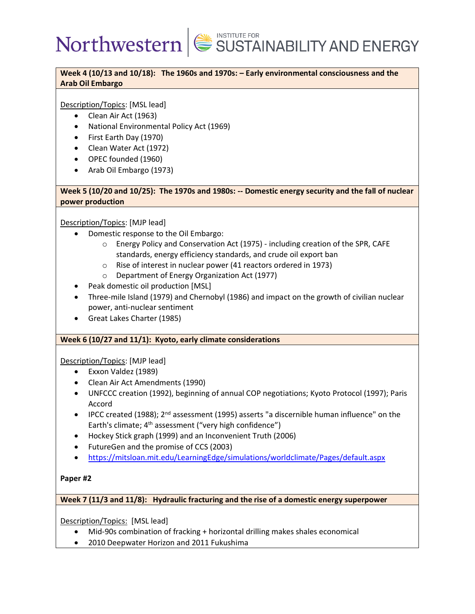**Week 4 (10/13 and 10/18): The 1960s and 1970s: – Early environmental consciousness and the Arab Oil Embargo**

Description/Topics: [MSL lead]

- Clean Air Act (1963)
- National Environmental Policy Act (1969)
- First Earth Day (1970)
- Clean Water Act (1972)
- OPEC founded (1960)
- Arab Oil Embargo (1973)

**Week 5 (10/20 and 10/25): The 1970s and 1980s: -- Domestic energy security and the fall of nuclear power production**

Description/Topics: [MJP lead]

- Domestic response to the Oil Embargo:
	- o Energy Policy and Conservation Act (1975) including creation of the SPR, CAFE standards, energy efficiency standards, and crude oil export ban
	- o Rise of interest in nuclear power (41 reactors ordered in 1973)
	- o Department of Energy Organization Act (1977)
- Peak domestic oil production [MSL]
- Three-mile Island (1979) and Chernobyl (1986) and impact on the growth of civilian nuclear power, anti-nuclear sentiment
- Great Lakes Charter (1985)

### **Week 6 (10/27 and 11/1): Kyoto, early climate considerations**

Description/Topics: [MJP lead]

- Exxon Valdez (1989)
- Clean Air Act Amendments (1990)
- UNFCCC creation (1992), beginning of annual COP negotiations; Kyoto Protocol (1997); Paris Accord
- IPCC created (1988); 2<sup>nd</sup> assessment (1995) asserts "a discernible human influence" on the Earth's climate; 4<sup>th</sup> assessment ("very high confidence")
- Hockey Stick graph (1999) and an Inconvenient Truth (2006)
- FutureGen and the promise of CCS (2003)
- [https://mitsloan.mit.edu/LearningEdge/simulations/worldclimate/Pages/default.aspx](about:blank)

### **Paper #2**

**Week 7 (11/3 and 11/8): Hydraulic fracturing and the rise of a domestic energy superpower**

Description/Topics: [MSL lead]

- Mid-90s combination of fracking + horizontal drilling makes shales economical
- 2010 Deepwater Horizon and 2011 Fukushima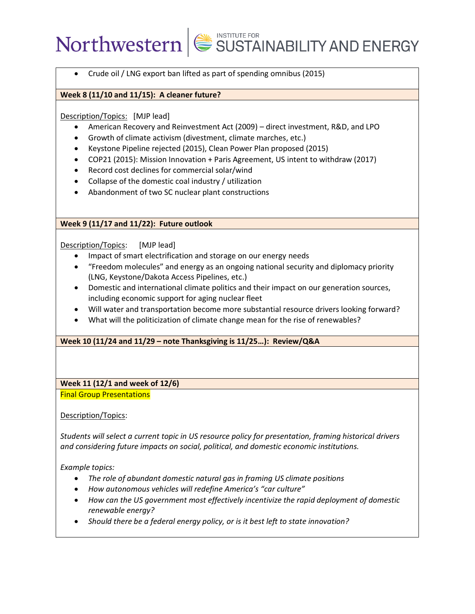• Crude oil / LNG export ban lifted as part of spending omnibus (2015)

#### **Week 8 (11/10 and 11/15): A cleaner future?**

#### Description/Topics: [MJP lead]

- American Recovery and Reinvestment Act (2009) direct investment, R&D, and LPO
- Growth of climate activism (divestment, climate marches, etc.)
- Keystone Pipeline rejected (2015), Clean Power Plan proposed (2015)
- COP21 (2015): Mission Innovation + Paris Agreement, US intent to withdraw (2017)
- Record cost declines for commercial solar/wind
- Collapse of the domestic coal industry / utilization
- Abandonment of two SC nuclear plant constructions

### **Week 9 (11/17 and 11/22): Future outlook**

### Description/Topics: [MJP lead]

- Impact of smart electrification and storage on our energy needs
- "Freedom molecules" and energy as an ongoing national security and diplomacy priority (LNG, Keystone/Dakota Access Pipelines, etc.)
- Domestic and international climate politics and their impact on our generation sources, including economic support for aging nuclear fleet
- Will water and transportation become more substantial resource drivers looking forward?
- What will the politicization of climate change mean for the rise of renewables?

### **Week 10 (11/24 and 11/29 – note Thanksgiving is 11/25…): Review/Q&A**

### **Week 11 (12/1 and week of 12/6)** Final Group Presentations

Description/Topics:

*Students will select a current topic in US resource policy for presentation, framing historical drivers and considering future impacts on social, political, and domestic economic institutions.* 

*Example topics:*

- *The role of abundant domestic natural gas in framing US climate positions*
- *How autonomous vehicles will redefine America's "car culture"*
- *How can the US government most effectively incentivize the rapid deployment of domestic renewable energy?*
- *Should there be a federal energy policy, or is it best left to state innovation?*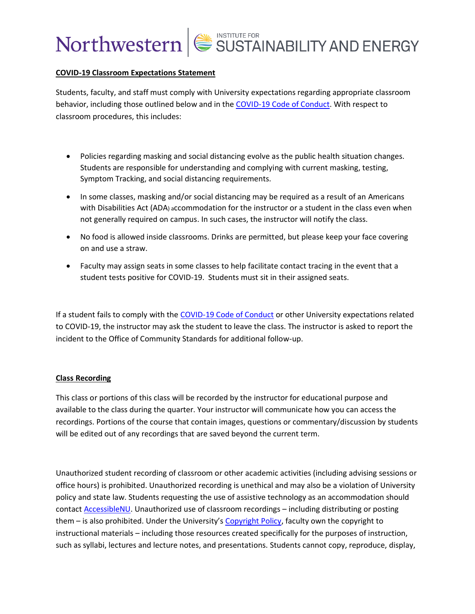#### **COVID-19 Classroom Expectations Statement**

Students, faculty, and staff must comply with University expectations regarding appropriate classroom behavior, including those outlined below and in the [COVID-19 Code of Conduct.](https://www.northwestern.edu/communitystandards/about-us/northwestern-university-student-expectations-covid-19-code-of-conduct.html) With respect to classroom procedures, this includes:

- Policies regarding masking and social distancing evolve as the public health situation changes. Students are responsible for understanding and complying with current masking, testing, Symptom Tracking, and social distancing requirements.
- In some classes, masking and/or social distancing may be required as a result of an Americans with Disabilities Act (ADA) accommodation for the instructor or a student in the class even when not generally required on campus. In such cases, the instructor will notify the class.
- No food is allowed inside classrooms. Drinks are permitted, but please keep your face covering on and use a straw.
- Faculty may assign seats in some classes to help facilitate contact tracing in the event that a student tests positive for COVID-19. Students must sit in their assigned seats.

If a student fails to comply with the [COVID-19 Code of Conduct](https://www.northwestern.edu/communitystandards/about-us/northwestern-university-student-expectations-covid-19-code-of-conduct.html) or other University expectations related to COVID-19, the instructor may ask the student to leave the class. The instructor is asked to report the incident to the Office of Community Standards for additional follow-up.

#### **Class Recording**

This class or portions of this class will be recorded by the instructor for educational purpose and available to the class during the quarter. Your instructor will communicate how you can access the recordings. Portions of the course that contain images, questions or commentary/discussion by students will be edited out of any recordings that are saved beyond the current term.

Unauthorized student recording of classroom or other academic activities (including advising sessions or office hours) is prohibited. Unauthorized recording is unethical and may also be a violation of University policy and state law. Students requesting the use of assistive technology as an accommodation should contact [AccessibleNU.](https://www.northwestern.edu/accessiblenu/) Unauthorized use of classroom recordings – including distributing or posting them – is also prohibited. Under the University's [Copyright Policy,](https://www.invo.northwestern.edu/invention-disclosure/policies-forms/copyright-policy/) faculty own the copyright to instructional materials – including those resources created specifically for the purposes of instruction, such as syllabi, lectures and lecture notes, and presentations. Students cannot copy, reproduce, display,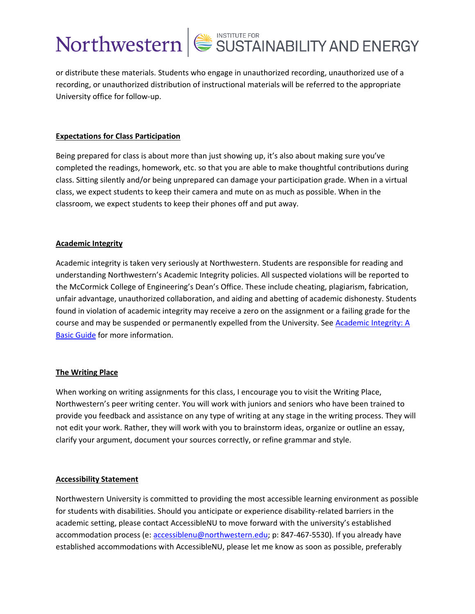or distribute these materials. Students who engage in unauthorized recording, unauthorized use of a recording, or unauthorized distribution of instructional materials will be referred to the appropriate University office for follow-up.

### **Expectations for Class Participation**

Being prepared for class is about more than just showing up, it's also about making sure you've completed the readings, homework, etc. so that you are able to make thoughtful contributions during class. Sitting silently and/or being unprepared can damage your participation grade. When in a virtual class, we expect students to keep their camera and mute on as much as possible. When in the classroom, we expect students to keep their phones off and put away.

#### **Academic Integrity**

Academic integrity is taken very seriously at Northwestern. Students are responsible for reading and understanding Northwestern's Academic Integrity policies. All suspected violations will be reported to the McCormick College of Engineering's Dean's Office. These include cheating, plagiarism, fabrication, unfair advantage, unauthorized collaboration, and aiding and abetting of academic dishonesty. Students found in violation of academic integrity may receive a zero on the assignment or a failing grade for the course and may be suspended or permanently expelled from the University. See [Academic Integrity: A](https://www.northwestern.edu/provost/policies/academic-integrity/Academic-Integrity-Guide-August-2019.pdf)  [Basic Guide](https://www.northwestern.edu/provost/policies/academic-integrity/Academic-Integrity-Guide-August-2019.pdf) for more information.

#### **The Writing Place**

When working on writing assignments for this class, I encourage you to visit the Writing Place, Northwestern's peer writing center. You will work with juniors and seniors who have been trained to provide you feedback and assistance on any type of writing at any stage in the writing process. They will not edit your work. Rather, they will work with you to brainstorm ideas, organize or outline an essay, clarify your argument, document your sources correctly, or refine grammar and style.

#### **Accessibility Statement**

Northwestern University is committed to providing the most accessible learning environment as possible for students with disabilities. Should you anticipate or experience disability-related barriers in the academic setting, please contact AccessibleNU to move forward with the university's established accommodation process (e: [accessiblenu@northwestern.edu;](mailto:accessiblenu@northwestern.edu) p: 847-467-5530). If you already have established accommodations with AccessibleNU, please let me know as soon as possible, preferably